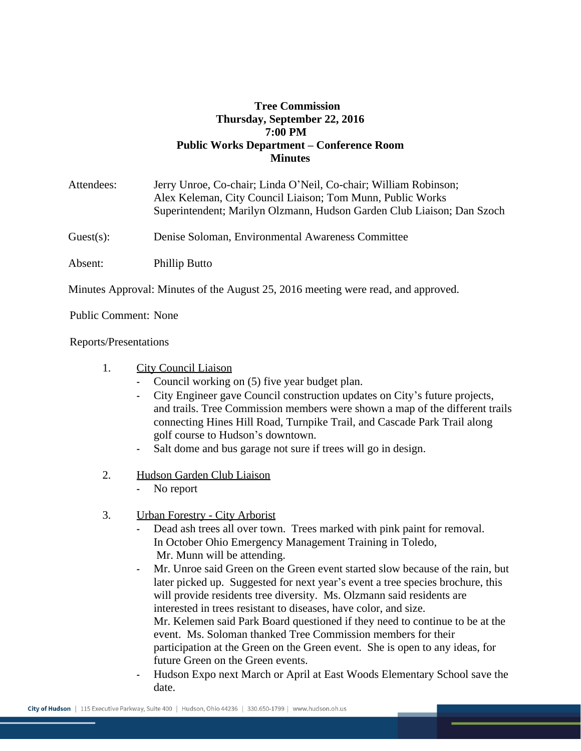## **Tree Commission Thursday, September 22, 2016 7:00 PM Public Works Department – Conference Room Minutes**

| Attendees: | Jerry Unroe, Co-chair; Linda O'Neil, Co-chair; William Robinson;<br>Alex Keleman, City Council Liaison; Tom Munn, Public Works<br>Superintendent; Marilyn Olzmann, Hudson Garden Club Liaison; Dan Szoch |
|------------|----------------------------------------------------------------------------------------------------------------------------------------------------------------------------------------------------------|
| Guest(s):  | Denise Soloman, Environmental Awareness Committee                                                                                                                                                        |
| Absent:    | Phillip Butto                                                                                                                                                                                            |

Minutes Approval: Minutes of the August 25, 2016 meeting were read, and approved.

Public Comment: None

Reports/Presentations

- 1. City Council Liaison
	- Council working on (5) five year budget plan.
	- City Engineer gave Council construction updates on City's future projects, and trails. Tree Commission members were shown a map of the different trails connecting Hines Hill Road, Turnpike Trail, and Cascade Park Trail along golf course to Hudson's downtown.
	- Salt dome and bus garage not sure if trees will go in design.
- 2. Hudson Garden Club Liaison
	- No report
- 3. Urban Forestry City Arborist
	- Dead ash trees all over town. Trees marked with pink paint for removal. In October Ohio Emergency Management Training in Toledo, Mr. Munn will be attending.
	- Mr. Unroe said Green on the Green event started slow because of the rain, but later picked up. Suggested for next year's event a tree species brochure, this will provide residents tree diversity. Ms. Olzmann said residents are interested in trees resistant to diseases, have color, and size. Mr. Kelemen said Park Board questioned if they need to continue to be at the event. Ms. Soloman thanked Tree Commission members for their participation at the Green on the Green event. She is open to any ideas, for future Green on the Green events.
	- Hudson Expo next March or April at East Woods Elementary School save the date.